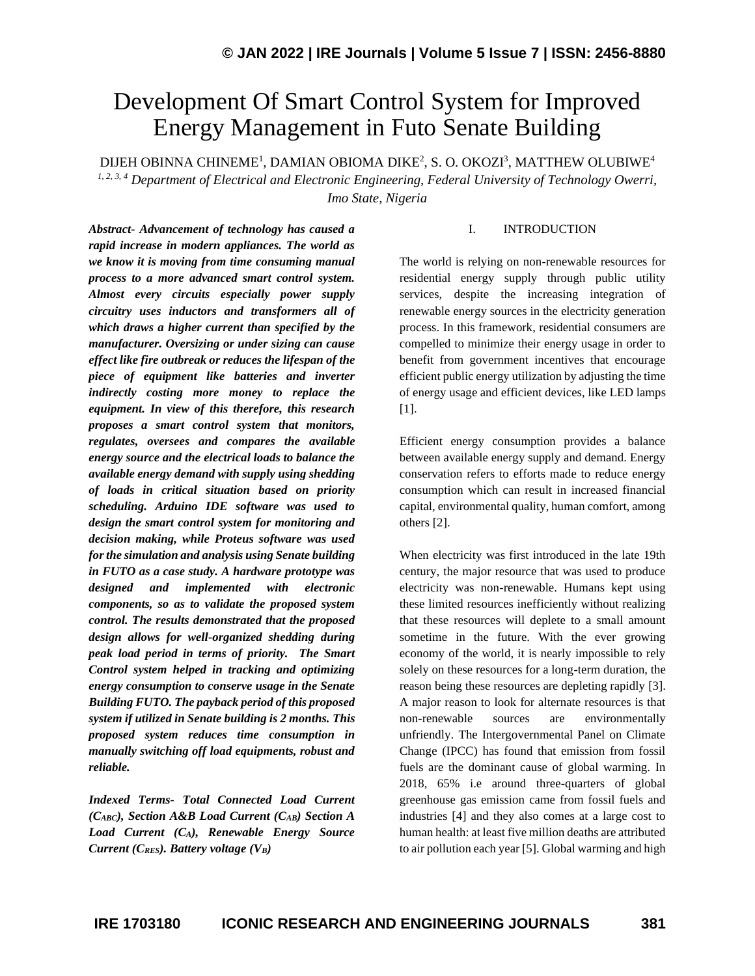# Development Of Smart Control System for Improved Energy Management in Futo Senate Building

DIJEH OBINNA CHINEME<sup>1</sup>, DAMIAN OBIOMA DIKE $^2$ , S. O. OKOZI $^3$ , MATTHEW OLUBIWE $^4$ *1, 2, 3, 4 Department of Electrical and Electronic Engineering, Federal University of Technology Owerri, Imo State, Nigeria*

*Abstract- Advancement of technology has caused a rapid increase in modern appliances. The world as we know it is moving from time consuming manual process to a more advanced smart control system. Almost every circuits especially power supply circuitry uses inductors and transformers all of which draws a higher current than specified by the manufacturer. Oversizing or under sizing can cause effect like fire outbreak or reduces the lifespan of the piece of equipment like batteries and inverter indirectly costing more money to replace the equipment. In view of this therefore, this research proposes a smart control system that monitors, regulates, oversees and compares the available energy source and the electrical loads to balance the available energy demand with supply using shedding of loads in critical situation based on priority scheduling. Arduino IDE software was used to design the smart control system for monitoring and decision making, while Proteus software was used for the simulation and analysis using Senate building in FUTO as a case study. A hardware prototype was designed and implemented with electronic components, so as to validate the proposed system control. The results demonstrated that the proposed design allows for well-organized shedding during peak load period in terms of priority. The Smart Control system helped in tracking and optimizing energy consumption to conserve usage in the Senate Building FUTO. The payback period of this proposed system if utilized in Senate building is 2 months. This proposed system reduces time consumption in manually switching off load equipments, robust and reliable.*

*Indexed Terms- Total Connected Load Current (CABC), Section A&B Load Current (CAB) Section A Load Current (CA), Renewable Energy Source Current (CRES). Battery voltage (VB)*

### I. INTRODUCTION

The world is relying on non-renewable resources for residential energy supply through public utility services, despite the increasing integration of renewable energy sources in the electricity generation process. In this framework, residential consumers are compelled to minimize their energy usage in order to benefit from government incentives that encourage efficient public energy utilization by adjusting the time of energy usage and efficient devices, like LED lamps [1].

Efficient energy consumption provides a balance between available energy supply and demand. Energy conservation refers to efforts made to reduce energy consumption which can result in increased financial capital, environmental quality, human comfort, among others [2].

When electricity was first introduced in the late 19th century, the major resource that was used to produce electricity was non-renewable. Humans kept using these limited resources inefficiently without realizing that these resources will deplete to a small amount sometime in the future. With the ever growing economy of the world, it is nearly impossible to rely solely on these resources for a long-term duration, the reason being these resources are depleting rapidly [3]. A major reason to look for alternate resources is that non-renewable sources are environmentally unfriendly. The Intergovernmental Panel on Climate Change (IPCC) has found that emission from fossil fuels are the dominant cause of global warming. In 2018, 65% i.e around three-quarters of global greenhouse gas emission came from fossil fuels and industries [4] and they also comes at a large cost to human health: at least five million deaths are attributed to air pollution each year [5]. Global warming and high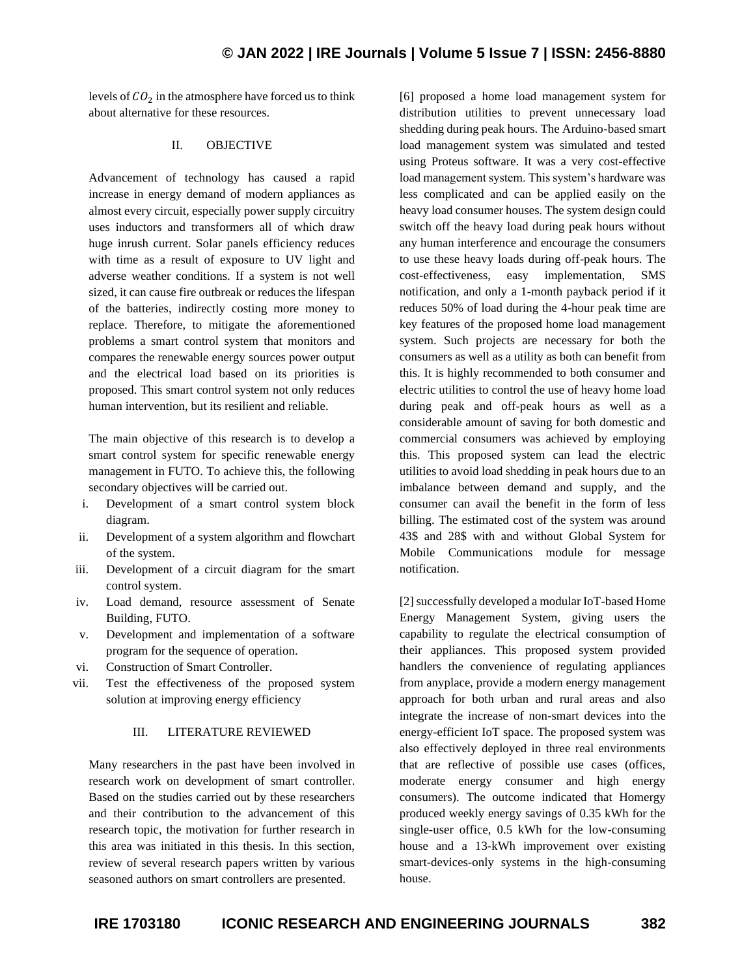levels of  $CO<sub>2</sub>$  in the atmosphere have forced us to think about alternative for these resources.

### II. OBJECTIVE

Advancement of technology has caused a rapid increase in energy demand of modern appliances as almost every circuit, especially power supply circuitry uses inductors and transformers all of which draw huge inrush current. Solar panels efficiency reduces with time as a result of exposure to UV light and adverse weather conditions. If a system is not well sized, it can cause fire outbreak or reduces the lifespan of the batteries, indirectly costing more money to replace. Therefore, to mitigate the aforementioned problems a smart control system that monitors and compares the renewable energy sources power output and the electrical load based on its priorities is proposed. This smart control system not only reduces human intervention, but its resilient and reliable.

The main objective of this research is to develop a smart control system for specific renewable energy management in FUTO. To achieve this, the following secondary objectives will be carried out.

- i. Development of a smart control system block diagram.
- ii. Development of a system algorithm and flowchart of the system.
- iii. Development of a circuit diagram for the smart control system.
- iv. Load demand, resource assessment of Senate Building, FUTO.
- v. Development and implementation of a software program for the sequence of operation.
- vi. Construction of Smart Controller.
- vii. Test the effectiveness of the proposed system solution at improving energy efficiency

### III. LITERATURE REVIEWED

Many researchers in the past have been involved in research work on development of smart controller. Based on the studies carried out by these researchers and their contribution to the advancement of this research topic, the motivation for further research in this area was initiated in this thesis. In this section, review of several research papers written by various seasoned authors on smart controllers are presented.

[6] proposed a home load management system for distribution utilities to prevent unnecessary load shedding during peak hours. The Arduino-based smart load management system was simulated and tested using Proteus software. It was a very cost-effective load management system. This system's hardware was less complicated and can be applied easily on the heavy load consumer houses. The system design could switch off the heavy load during peak hours without any human interference and encourage the consumers to use these heavy loads during off-peak hours. The cost-effectiveness, easy implementation, SMS notification, and only a 1-month payback period if it reduces 50% of load during the 4-hour peak time are key features of the proposed home load management system. Such projects are necessary for both the consumers as well as a utility as both can benefit from this. It is highly recommended to both consumer and electric utilities to control the use of heavy home load during peak and off-peak hours as well as a considerable amount of saving for both domestic and commercial consumers was achieved by employing this. This proposed system can lead the electric utilities to avoid load shedding in peak hours due to an imbalance between demand and supply, and the consumer can avail the benefit in the form of less billing. The estimated cost of the system was around 43\$ and 28\$ with and without Global System for Mobile Communications module for message notification.

[2] successfully developed a modular IoT-based Home Energy Management System, giving users the capability to regulate the electrical consumption of their appliances. This proposed system provided handlers the convenience of regulating appliances from anyplace, provide a modern energy management approach for both urban and rural areas and also integrate the increase of non-smart devices into the energy-efficient IoT space. The proposed system was also effectively deployed in three real environments that are reflective of possible use cases (offices, moderate energy consumer and high energy consumers). The outcome indicated that Homergy produced weekly energy savings of 0.35 kWh for the single-user office, 0.5 kWh for the low-consuming house and a 13-kWh improvement over existing smart-devices-only systems in the high-consuming house.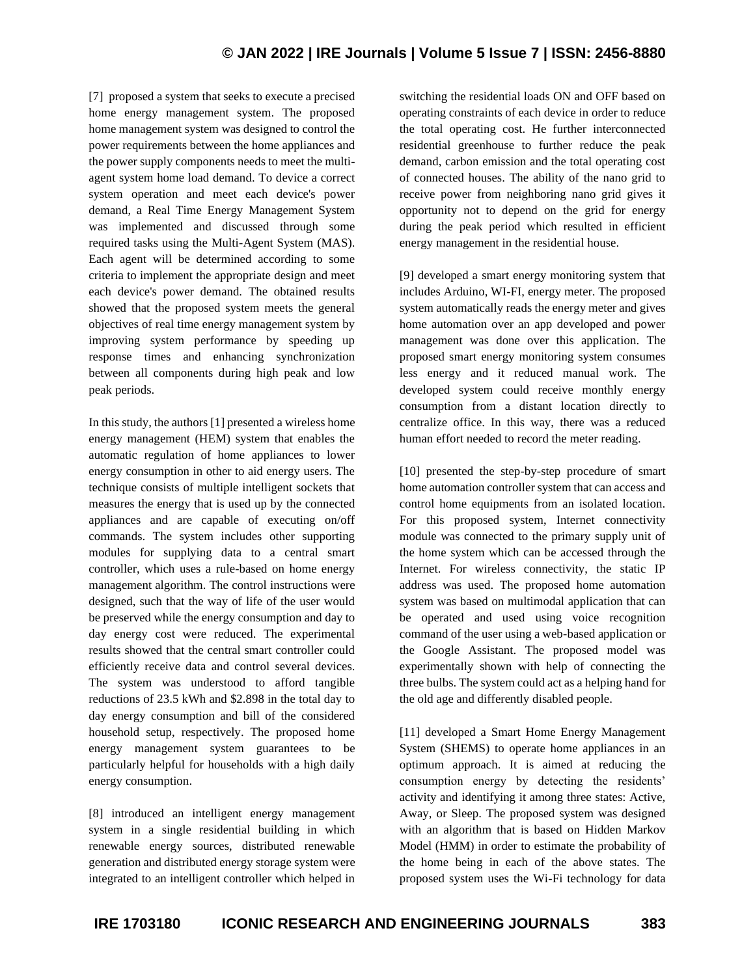[7] proposed a system that seeks to execute a precised home energy management system. The proposed home management system was designed to control the power requirements between the home appliances and the power supply components needs to meet the multiagent system home load demand. To device a correct system operation and meet each device's power demand, a Real Time Energy Management System was implemented and discussed through some required tasks using the Multi-Agent System (MAS). Each agent will be determined according to some criteria to implement the appropriate design and meet each device's power demand. The obtained results showed that the proposed system meets the general objectives of real time energy management system by improving system performance by speeding up response times and enhancing synchronization between all components during high peak and low peak periods.

In this study, the authors [1] presented a wireless home energy management (HEM) system that enables the automatic regulation of home appliances to lower energy consumption in other to aid energy users. The technique consists of multiple intelligent sockets that measures the energy that is used up by the connected appliances and are capable of executing on/off commands. The system includes other supporting modules for supplying data to a central smart controller, which uses a rule-based on home energy management algorithm. The control instructions were designed, such that the way of life of the user would be preserved while the energy consumption and day to day energy cost were reduced. The experimental results showed that the central smart controller could efficiently receive data and control several devices. The system was understood to afford tangible reductions of 23.5 kWh and \$2.898 in the total day to day energy consumption and bill of the considered household setup, respectively. The proposed home energy management system guarantees to be particularly helpful for households with a high daily energy consumption.

[8] introduced an intelligent energy management system in a single residential building in which renewable energy sources, distributed renewable generation and distributed energy storage system were integrated to an intelligent controller which helped in switching the residential loads ON and OFF based on operating constraints of each device in order to reduce the total operating cost. He further interconnected residential greenhouse to further reduce the peak demand, carbon emission and the total operating cost of connected houses. The ability of the nano grid to receive power from neighboring nano grid gives it opportunity not to depend on the grid for energy during the peak period which resulted in efficient energy management in the residential house.

[9] developed a smart energy monitoring system that includes Arduino, WI-FI, energy meter. The proposed system automatically reads the energy meter and gives home automation over an app developed and power management was done over this application. The proposed smart energy monitoring system consumes less energy and it reduced manual work. The developed system could receive monthly energy consumption from a distant location directly to centralize office. In this way, there was a reduced human effort needed to record the meter reading.

[10] presented the step-by-step procedure of smart home automation controller system that can access and control home equipments from an isolated location. For this proposed system, Internet connectivity module was connected to the primary supply unit of the home system which can be accessed through the Internet. For wireless connectivity, the static IP address was used. The proposed home automation system was based on multimodal application that can be operated and used using voice recognition command of the user using a web-based application or the Google Assistant. The proposed model was experimentally shown with help of connecting the three bulbs. The system could act as a helping hand for the old age and differently disabled people.

[11] developed a Smart Home Energy Management System (SHEMS) to operate home appliances in an optimum approach. It is aimed at reducing the consumption energy by detecting the residents' activity and identifying it among three states: Active, Away, or Sleep. The proposed system was designed with an algorithm that is based on Hidden Markov Model (HMM) in order to estimate the probability of the home being in each of the above states. The proposed system uses the Wi-Fi technology for data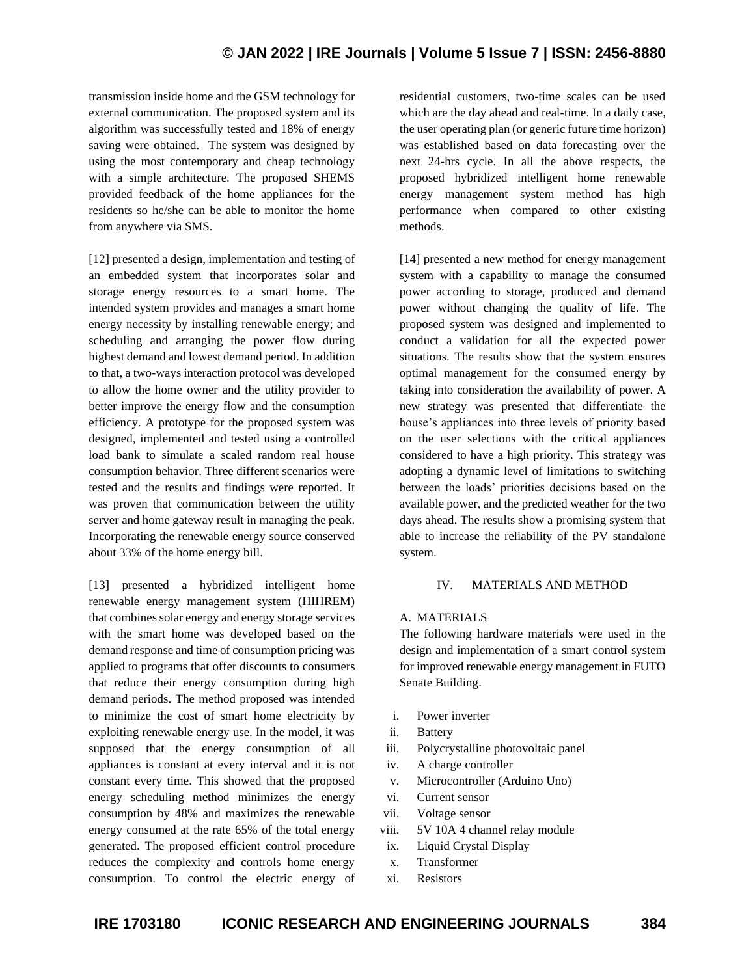transmission inside home and the GSM technology for external communication. The proposed system and its algorithm was successfully tested and 18% of energy saving were obtained. The system was designed by using the most contemporary and cheap technology with a simple architecture. The proposed SHEMS provided feedback of the home appliances for the residents so he/she can be able to monitor the home from anywhere via SMS.

[12] presented a design, implementation and testing of an embedded system that incorporates solar and storage energy resources to a smart home. The intended system provides and manages a smart home energy necessity by installing renewable energy; and scheduling and arranging the power flow during highest demand and lowest demand period. In addition to that, a two-ways interaction protocol was developed to allow the home owner and the utility provider to better improve the energy flow and the consumption efficiency. A prototype for the proposed system was designed, implemented and tested using a controlled load bank to simulate a scaled random real house consumption behavior. Three different scenarios were tested and the results and findings were reported. It was proven that communication between the utility server and home gateway result in managing the peak. Incorporating the renewable energy source conserved about 33% of the home energy bill.

[13] presented a hybridized intelligent home renewable energy management system (HIHREM) that combines solar energy and energy storage services with the smart home was developed based on the demand response and time of consumption pricing was applied to programs that offer discounts to consumers that reduce their energy consumption during high demand periods. The method proposed was intended to minimize the cost of smart home electricity by exploiting renewable energy use. In the model, it was supposed that the energy consumption of all appliances is constant at every interval and it is not constant every time. This showed that the proposed energy scheduling method minimizes the energy consumption by 48% and maximizes the renewable energy consumed at the rate 65% of the total energy generated. The proposed efficient control procedure reduces the complexity and controls home energy consumption. To control the electric energy of

residential customers, two-time scales can be used which are the day ahead and real-time. In a daily case, the user operating plan (or generic future time horizon) was established based on data forecasting over the next 24-hrs cycle. In all the above respects, the proposed hybridized intelligent home renewable energy management system method has high performance when compared to other existing methods.

[14] presented a new method for energy management system with a capability to manage the consumed power according to storage, produced and demand power without changing the quality of life. The proposed system was designed and implemented to conduct a validation for all the expected power situations. The results show that the system ensures optimal management for the consumed energy by taking into consideration the availability of power. A new strategy was presented that differentiate the house's appliances into three levels of priority based on the user selections with the critical appliances considered to have a high priority. This strategy was adopting a dynamic level of limitations to switching between the loads' priorities decisions based on the available power, and the predicted weather for the two days ahead. The results show a promising system that able to increase the reliability of the PV standalone system.

#### IV. MATERIALS AND METHOD

### A. MATERIALS

The following hardware materials were used in the design and implementation of a smart control system for improved renewable energy management in FUTO Senate Building.

- i. Power inverter
- ii. Battery
- iii. Polycrystalline photovoltaic panel
- iv. A charge controller
- v. Microcontroller (Arduino Uno)
- vi. Current sensor
- vii. Voltage sensor
- viii. 5V 10A 4 channel relay module
- ix. Liquid Crystal Display
- x. Transformer
- xi. Resistors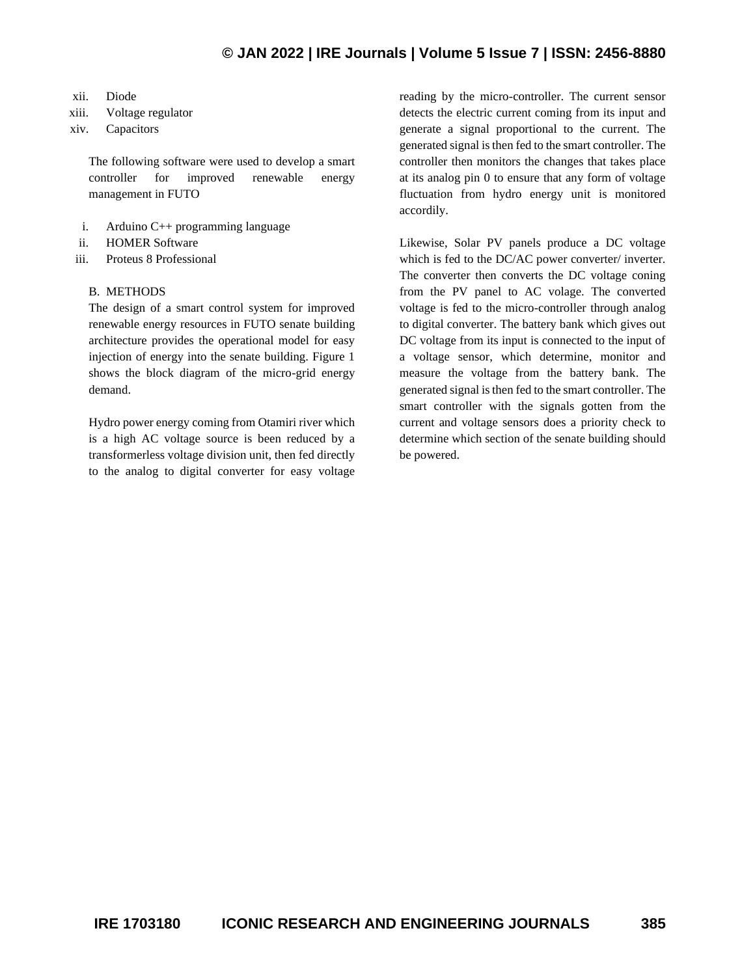- xii. Diode
- xiii. Voltage regulator
- xiv. Capacitors

The following software were used to develop a smart controller for improved renewable energy management in FUTO

- i. Arduino C++ programming language
- ii. HOMER Software
- iii. Proteus 8 Professional

### B. METHODS

The design of a smart control system for improved renewable energy resources in FUTO senate building architecture provides the operational model for easy injection of energy into the senate building. Figure 1 shows the block diagram of the micro-grid energy demand.

Hydro power energy coming from Otamiri river which is a high AC voltage source is been reduced by a transformerless voltage division unit, then fed directly to the analog to digital converter for easy voltage

reading by the micro-controller. The current sensor detects the electric current coming from its input and generate a signal proportional to the current. The generated signal is then fed to the smart controller. The controller then monitors the changes that takes place at its analog pin 0 to ensure that any form of voltage fluctuation from hydro energy unit is monitored accordily.

Likewise, Solar PV panels produce a DC voltage which is fed to the DC/AC power converter/ inverter. The converter then converts the DC voltage coning from the PV panel to AC volage. The converted voltage is fed to the micro-controller through analog to digital converter. The battery bank which gives out DC voltage from its input is connected to the input of a voltage sensor, which determine, monitor and measure the voltage from the battery bank. The generated signal is then fed to the smart controller. The smart controller with the signals gotten from the current and voltage sensors does a priority check to determine which section of the senate building should be powered.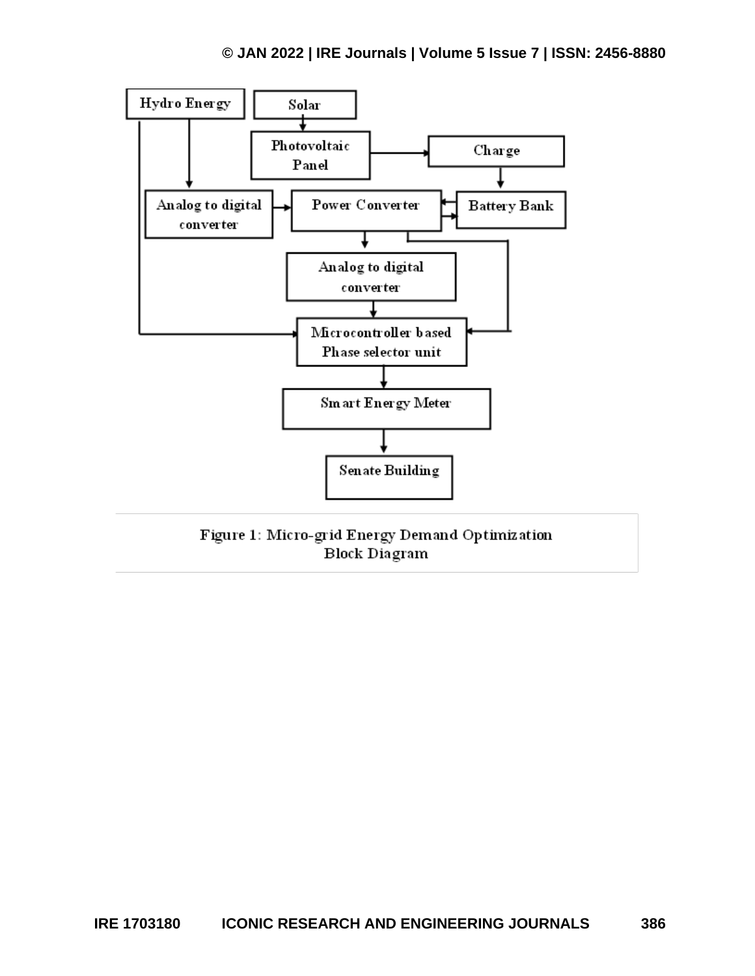

Figure 1: Micro-grid Energy Demand Optimization **Block Diagram**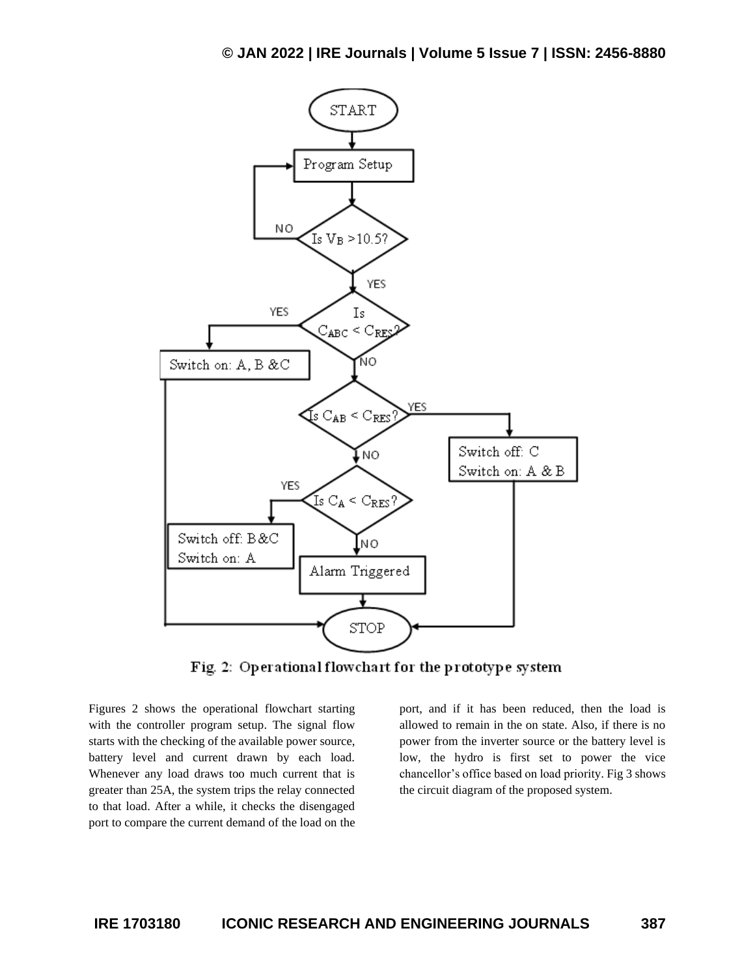

Fig. 2: Operational flowchart for the prototype system

Figures 2 shows the operational flowchart starting with the controller program setup. The signal flow starts with the checking of the available power source, battery level and current drawn by each load. Whenever any load draws too much current that is greater than 25A, the system trips the relay connected to that load. After a while, it checks the disengaged port to compare the current demand of the load on the

port, and if it has been reduced, then the load is allowed to remain in the on state. Also, if there is no power from the inverter source or the battery level is low, the hydro is first set to power the vice chancellor's office based on load priority. Fig 3 shows the circuit diagram of the proposed system.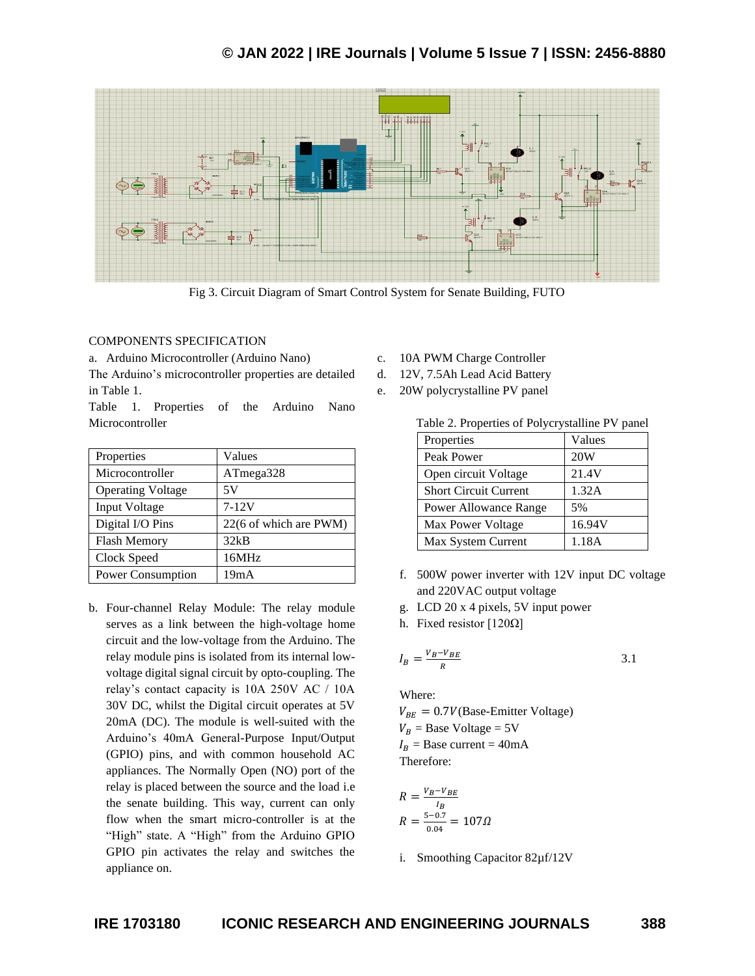

Fig 3. Circuit Diagram of Smart Control System for Senate Building, FUTO

### COMPONENTS SPECIFICATION

a. Arduino Microcontroller (Arduino Nano)

The Arduino's microcontroller properties are detailed in Table 1.

Table 1. Properties of the Arduino Nano Microcontroller

| Properties               | Values                 |
|--------------------------|------------------------|
| Microcontroller          | ATmega328              |
| <b>Operating Voltage</b> | 5V                     |
| Input Voltage            | $7 - 12V$              |
| Digital I/O Pins         | 22(6 of which are PWM) |
| <b>Flash Memory</b>      | 32kB                   |
| Clock Speed              | 16MHz                  |
| Power Consumption        | 19m A                  |

b. Four-channel Relay Module: The relay module serves as a link between the high-voltage home circuit and the low-voltage from the Arduino. The relay module pins is isolated from its internal lowvoltage digital signal circuit by opto-coupling. The relay's contact capacity is 10A 250V AC / 10A 30V DC, whilst the Digital circuit operates at 5V 20mA (DC). The module is well-suited with the Arduino's 40mA General-Purpose Input/Output (GPIO) pins, and with common household AC appliances. The Normally Open (NO) port of the relay is placed between the source and the load i.e the senate building. This way, current can only flow when the smart micro-controller is at the "High" state. A "High" from the Arduino GPIO GPIO pin activates the relay and switches the appliance on.

- c. 10A PWM Charge Controller
- d. 12V, 7.5Ah Lead Acid Battery
- e. 20W polycrystalline PV panel

| Table 2. Properties of Polycrystalline PV panel |  |  |
|-------------------------------------------------|--|--|
|                                                 |  |  |

| Properties                   | Values |
|------------------------------|--------|
| Peak Power                   | 20W    |
| Open circuit Voltage         | 21.4V  |
| <b>Short Circuit Current</b> | 1.32A  |
| Power Allowance Range        | 5%     |
| Max Power Voltage            | 16.94V |
| Max System Current           | 1.18A  |

f. 500W power inverter with 12V input DC voltage and 220VAC output voltage

3.1

- g. LCD 20 x 4 pixels, 5V input power
- h. Fixed resistor [120Ω]

$$
I_B = \frac{V_B - V_{BE}}{R}
$$

Where:

 $V_{BE} = 0.7V(Base-Emitter Voltage)$  $V_B$  = Base Voltage = 5V  $I_R$  = Base current = 40mA Therefore:

$$
R = \frac{V_B - V_{BE}}{I_B}
$$
  

$$
R = \frac{5 - 0.7}{0.04} = 1070
$$

i. Smoothing Capacitor 82µf/12V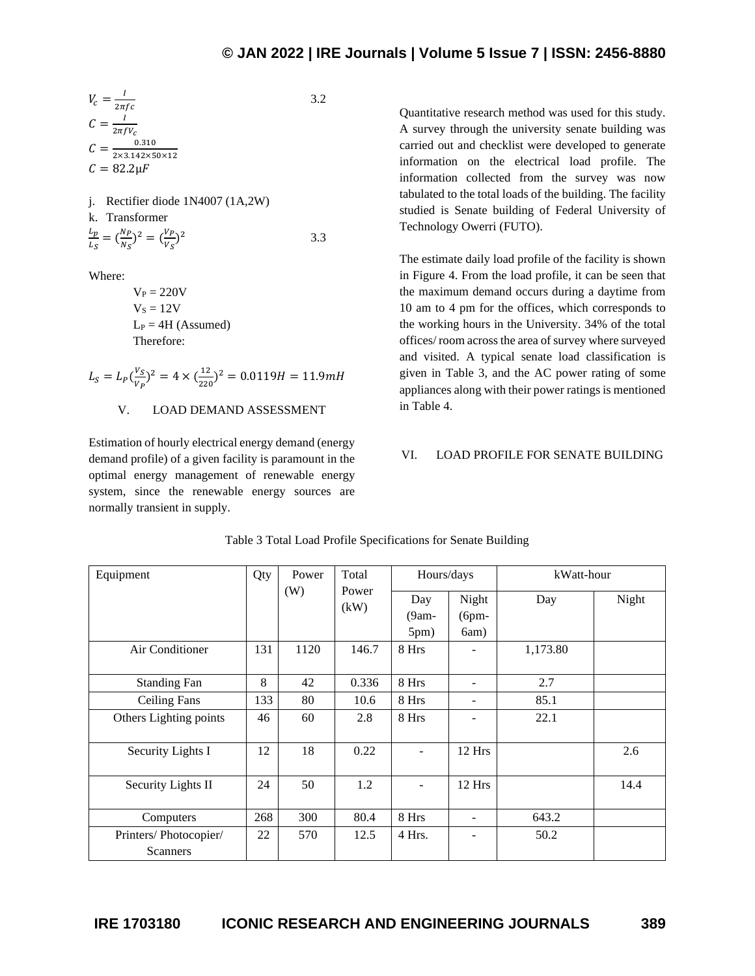3.2

$$
V_c = \frac{I}{2\pi f c}
$$
  
\n
$$
C = \frac{I}{2\pi f V_c}
$$
  
\n
$$
C = \frac{0.310}{2 \times 3.142 \times 50 \times 12}
$$
  
\n
$$
C = 82.2 \mu F
$$

j. Rectifier diode 1N4007 (1A,2W)  
k. Transformer  

$$
\frac{L_p}{L_S} = \left(\frac{N_P}{N_S}\right)^2 = \left(\frac{V_P}{V_S}\right)^2
$$
3.3

Where:

 $V_P = 220V$  $V_s = 12V$  $L_P = 4H$  (Assumed) Therefore:

$$
L_S = L_P \left(\frac{V_S}{V_P}\right)^2 = 4 \times \left(\frac{12}{220}\right)^2 = 0.0119H = 11.9mH
$$

V. LOAD DEMAND ASSESSMENT

Estimation of hourly electrical energy demand (energy demand profile) of a given facility is paramount in the optimal energy management of renewable energy system, since the renewable energy sources are normally transient in supply.

Quantitative research method was used for this study. A survey through the university senate building was carried out and checklist were developed to generate information on the electrical load profile. The information collected from the survey was now tabulated to the total loads of the building. The facility studied is Senate building of Federal University of Technology Owerri (FUTO).

The estimate daily load profile of the facility is shown in Figure 4. From the load profile, it can be seen that the maximum demand occurs during a daytime from 10 am to 4 pm for the offices, which corresponds to the working hours in the University. 34% of the total offices/ room across the area of survey where surveyed and visited. A typical senate load classification is given in Table 3, and the AC power rating of some appliances along with their power ratings is mentioned in Table 4.

### VI. LOAD PROFILE FOR SENATE BUILDING

| Equipment                                | Qty | Power | Total         | Hours/days              |                          | kWatt-hour |       |
|------------------------------------------|-----|-------|---------------|-------------------------|--------------------------|------------|-------|
|                                          |     | (W)   | Power<br>(kW) | Day<br>$(9am -$<br>5pm) | Night<br>$(6pm-$<br>6am) | Day        | Night |
| Air Conditioner                          | 131 | 1120  | 146.7         | 8 Hrs                   |                          | 1,173.80   |       |
| <b>Standing Fan</b>                      | 8   | 42    | 0.336         | 8 Hrs                   |                          | 2.7        |       |
| <b>Ceiling Fans</b>                      | 133 | 80    | 10.6          | 8 Hrs                   | -                        | 85.1       |       |
| Others Lighting points                   | 46  | 60    | 2.8           | 8 Hrs                   |                          | 22.1       |       |
| Security Lights I                        | 12  | 18    | 0.22          |                         | 12 Hrs                   |            | 2.6   |
| Security Lights II                       | 24  | 50    | 1.2           |                         | 12 Hrs                   |            | 14.4  |
| Computers                                | 268 | 300   | 80.4          | 8 Hrs                   |                          | 643.2      |       |
| Printers/Photocopier/<br><b>Scanners</b> | 22  | 570   | 12.5          | 4 Hrs.                  |                          | 50.2       |       |

Table 3 Total Load Profile Specifications for Senate Building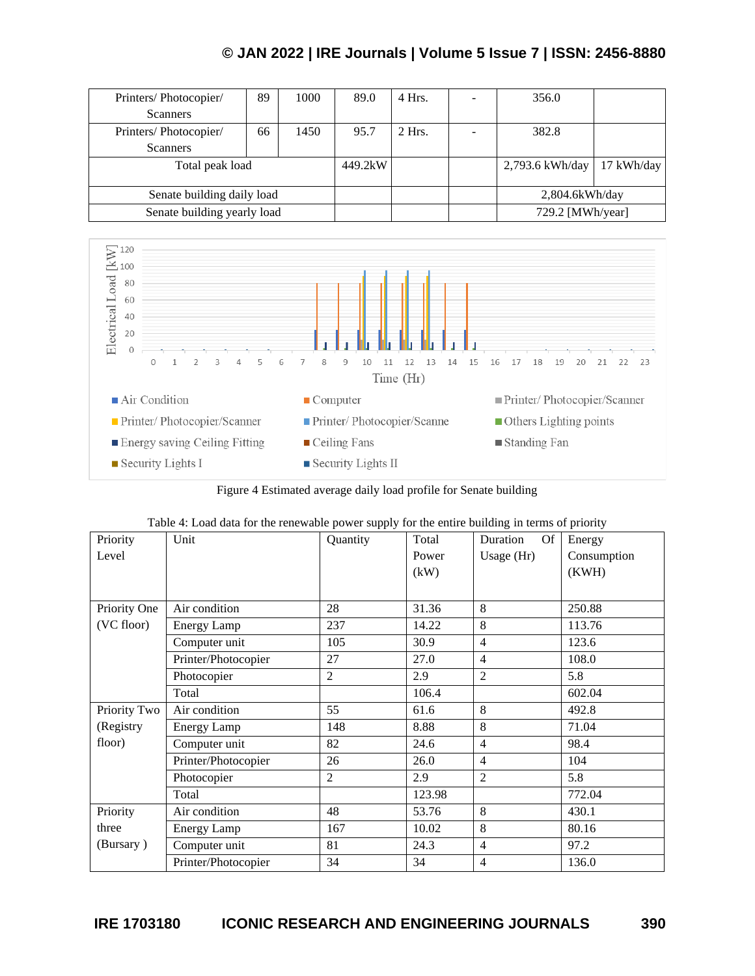| Printers/Photocopier/       | 89 | 1000 | 89.0    | 4 Hrs.   | 356.0             |            |
|-----------------------------|----|------|---------|----------|-------------------|------------|
| <b>Scanners</b>             |    |      |         |          |                   |            |
| Printers/Photocopier/       | 66 | 1450 | 95.7    | $2$ Hrs. | 382.8             |            |
| <b>Scanners</b>             |    |      |         |          |                   |            |
| Total peak load             |    |      | 449.2kW |          | 2,793.6 kWh/day   | 17 kWh/day |
|                             |    |      |         |          |                   |            |
| Senate building daily load  |    |      |         |          | $2,804.6$ kWh/day |            |
| Senate building yearly load |    |      |         |          | 729.2 [MWh/year]  |            |



Figure 4 Estimated average daily load profile for Senate building

| Priority     | raore is boat tall for the renewable power supply for the entire building in terms of priority<br>Unit | Quantity       | Total  | Duration<br><b>Of</b> |             |
|--------------|--------------------------------------------------------------------------------------------------------|----------------|--------|-----------------------|-------------|
|              |                                                                                                        |                |        |                       | Energy      |
| Level        |                                                                                                        |                | Power  | Usage $(Hr)$          | Consumption |
|              |                                                                                                        |                | (kW)   |                       | (KWH)       |
|              |                                                                                                        |                |        |                       |             |
|              |                                                                                                        |                |        |                       |             |
| Priority One | Air condition                                                                                          | 28             | 31.36  | 8                     | 250.88      |
| (VC floor)   | <b>Energy Lamp</b>                                                                                     | 237            | 14.22  | 8                     | 113.76      |
|              | Computer unit                                                                                          | 105            | 30.9   | $\overline{4}$        | 123.6       |
|              | Printer/Photocopier                                                                                    | 27             | 27.0   | $\overline{4}$        | 108.0       |
|              | Photocopier                                                                                            | $\overline{2}$ | 2.9    | $\overline{2}$        | 5.8         |
|              | Total                                                                                                  |                | 106.4  |                       | 602.04      |
| Priority Two | Air condition                                                                                          | 55             | 61.6   | 8                     | 492.8       |
| (Registry    | <b>Energy Lamp</b>                                                                                     | 148            | 8.88   | 8                     | 71.04       |
| floor)       | Computer unit                                                                                          | 82             | 24.6   | $\overline{4}$        | 98.4        |
|              | Printer/Photocopier                                                                                    | 26             | 26.0   | $\overline{4}$        | 104         |
|              | Photocopier                                                                                            | $\overline{c}$ | 2.9    | $\overline{c}$        | 5.8         |
|              | Total                                                                                                  |                | 123.98 |                       | 772.04      |
| Priority     | Air condition                                                                                          | 48             | 53.76  | 8                     | 430.1       |
| three        | <b>Energy Lamp</b>                                                                                     | 167            | 10.02  | 8                     | 80.16       |
| (Bursary)    | Computer unit                                                                                          | 81             | 24.3   | $\overline{4}$        | 97.2        |
|              | Printer/Photocopier                                                                                    | 34             | 34     | $\overline{4}$        | 136.0       |

|  | Table 4: Load data for the renewable power supply for the entire building in terms of priority |  |
|--|------------------------------------------------------------------------------------------------|--|
|  |                                                                                                |  |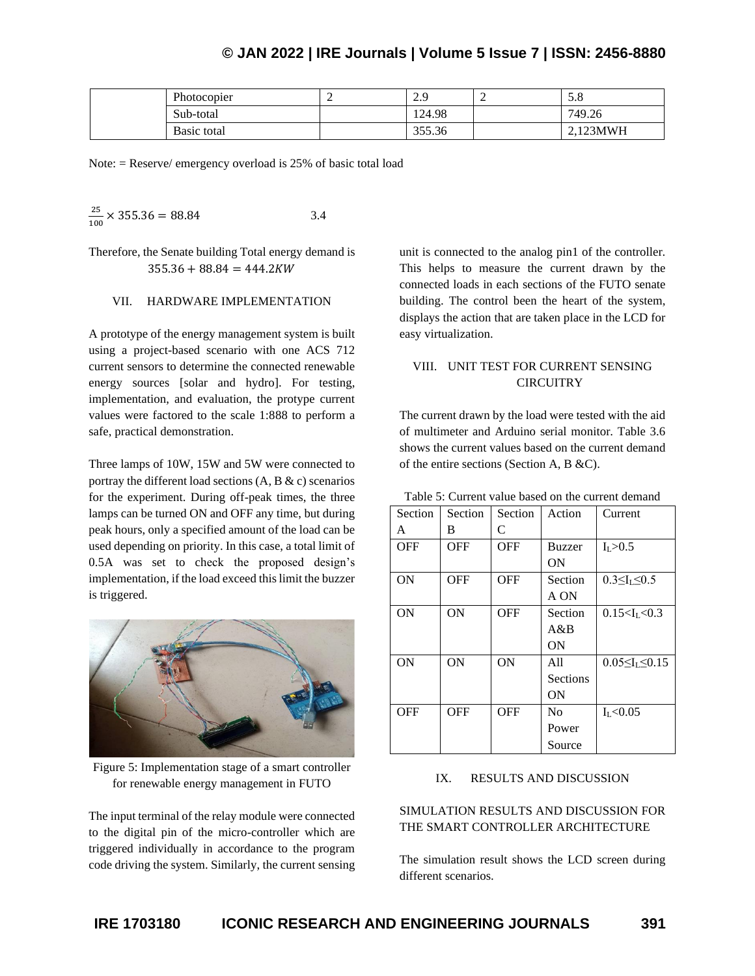| Photocopier | . . | $\Omega$<br>ر، ت | - | J.0      |
|-------------|-----|------------------|---|----------|
| Sub-total   |     | 124.98           |   | 749.26   |
| Basic total |     | 355.36           |   | 2.123MWH |

Note: = Reserve/ emergency overload is 25% of basic total load

$$
\frac{25}{100} \times 355.36 = 88.84
$$
 3.4

Therefore, the Senate building Total energy demand is  $355.36 + 88.84 = 444.2KW$ 

#### VII. HARDWARE IMPLEMENTATION

A prototype of the energy management system is built using a project-based scenario with one ACS 712 current sensors to determine the connected renewable energy sources [solar and hydro]. For testing, implementation, and evaluation, the protype current values were factored to the scale 1:888 to perform a safe, practical demonstration.

Three lamps of 10W, 15W and 5W were connected to portray the different load sections  $(A, B &c)$  scenarios for the experiment. During off-peak times, the three lamps can be turned ON and OFF any time, but during peak hours, only a specified amount of the load can be used depending on priority. In this case, a total limit of 0.5A was set to check the proposed design's implementation, if the load exceed this limit the buzzer is triggered.



Figure 5: Implementation stage of a smart controller for renewable energy management in FUTO

The input terminal of the relay module were connected to the digital pin of the micro-controller which are triggered individually in accordance to the program code driving the system. Similarly, the current sensing unit is connected to the analog pin1 of the controller. This helps to measure the current drawn by the connected loads in each sections of the FUTO senate building. The control been the heart of the system, displays the action that are taken place in the LCD for easy virtualization.

### VIII. UNIT TEST FOR CURRENT SENSING **CIRCUITRY**

The current drawn by the load were tested with the aid of multimeter and Arduino serial monitor. Table 3.6 shows the current values based on the current demand of the entire sections (Section A, B &C).

| Section   | Section | Section    | Action          | Current                     |
|-----------|---------|------------|-----------------|-----------------------------|
| A         | В       | C          |                 |                             |
| OFF       | OFF     | OFF        | Buzzer          | I <sub>L</sub> > 0.5        |
|           |         |            | ON              |                             |
| ON        | OFF     | <b>OFF</b> | Section         | $0.3 \leq I_L \leq 0.5$     |
|           |         |            | A ON            |                             |
| ON        | ON      | OFF        | Section         | 0.15 < I <sub>I</sub> < 0.3 |
|           |         |            | A & B           |                             |
|           |         |            | ON              |                             |
| <b>ON</b> | ON      | ON         | A11             | $0.05 \leq I_I \leq 0.15$   |
|           |         |            | <b>Sections</b> |                             |
|           |         |            | ON              |                             |
| OFF       | OFF     | OFF        | N <sub>0</sub>  | I <sub>L</sub> < 0.05       |
|           |         |            | Power           |                             |
|           |         |            | Source          |                             |

Table 5: Current value based on the current demand

#### IX. RESULTS AND DISCUSSION

### SIMULATION RESULTS AND DISCUSSION FOR THE SMART CONTROLLER ARCHITECTURE

The simulation result shows the LCD screen during different scenarios.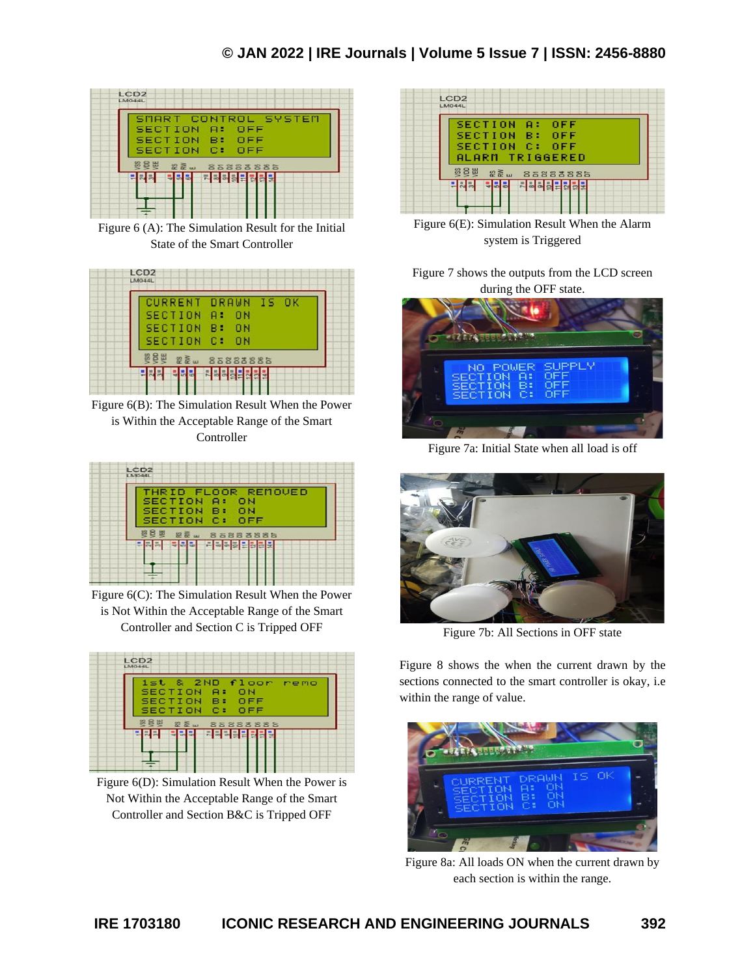

Figure 6 (A): The Simulation Result for the Initial State of the Smart Controller

| CURRENT DRAWN IS OK  |                |  |
|----------------------|----------------|--|
| SECTION A:           | 0 <sub>N</sub> |  |
| SECTION B:           | 0 N            |  |
| <b>SECTION C: ON</b> |                |  |

Figure 6(B): The Simulation Result When the Power is Within the Acceptable Range of the Smart Controller



Figure 6(C): The Simulation Result When the Power is Not Within the Acceptable Range of the Smart Controller and Section C is Tripped OFF



Figure 6(D): Simulation Result When the Power is Not Within the Acceptable Range of the Smart Controller and Section B&C is Tripped OFF



Figure 6(E): Simulation Result When the Alarm system is Triggered

Figure 7 shows the outputs from the LCD screen during the OFF state.



Figure 7a: Initial State when all load is off



Figure 7b: All Sections in OFF state

Figure 8 shows the when the current drawn by the sections connected to the smart controller is okay, i.e within the range of value.



Figure 8a: All loads ON when the current drawn by each section is within the range.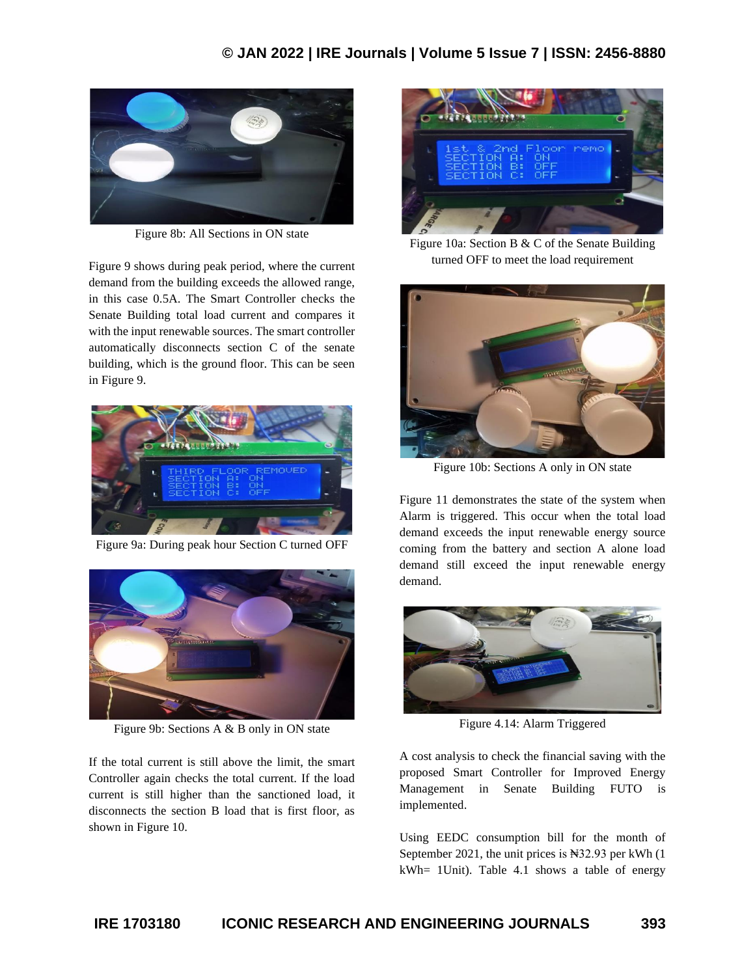

Figure 8b: All Sections in ON state

Figure 9 shows during peak period, where the current demand from the building exceeds the allowed range, in this case 0.5A. The Smart Controller checks the Senate Building total load current and compares it with the input renewable sources. The smart controller automatically disconnects section C of the senate building, which is the ground floor. This can be seen in Figure 9.



Figure 9a: During peak hour Section C turned OFF



Figure 9b: Sections A & B only in ON state

If the total current is still above the limit, the smart Controller again checks the total current. If the load current is still higher than the sanctioned load, it disconnects the section B load that is first floor, as shown in Figure 10.



Figure 10a: Section B & C of the Senate Building turned OFF to meet the load requirement



Figure 10b: Sections A only in ON state

Figure 11 demonstrates the state of the system when Alarm is triggered. This occur when the total load demand exceeds the input renewable energy source coming from the battery and section A alone load demand still exceed the input renewable energy demand.



Figure 4.14: Alarm Triggered

A cost analysis to check the financial saving with the proposed Smart Controller for Improved Energy Management in Senate Building FUTO is implemented.

Using EEDC consumption bill for the month of September 2021, the unit prices is  $\text{N32.93}$  per kWh (1) kWh= 1Unit). Table 4.1 shows a table of energy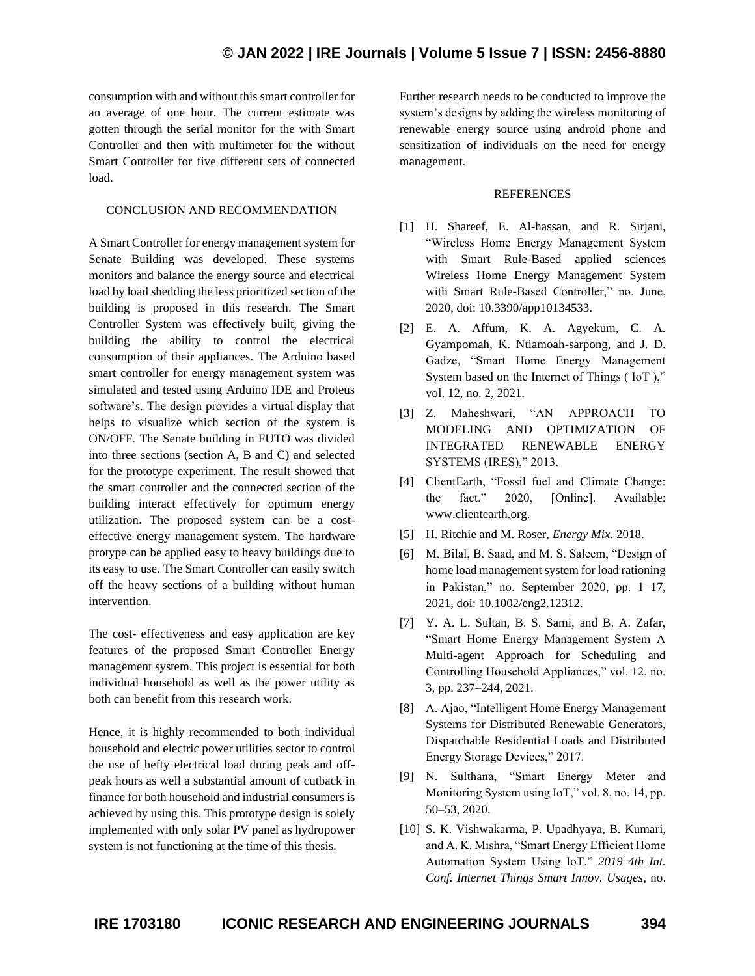consumption with and without this smart controller for an average of one hour. The current estimate was gotten through the serial monitor for the with Smart Controller and then with multimeter for the without Smart Controller for five different sets of connected load.

### CONCLUSION AND RECOMMENDATION

A Smart Controller for energy management system for Senate Building was developed. These systems monitors and balance the energy source and electrical load by load shedding the less prioritized section of the building is proposed in this research. The Smart Controller System was effectively built, giving the building the ability to control the electrical consumption of their appliances. The Arduino based smart controller for energy management system was simulated and tested using Arduino IDE and Proteus software's. The design provides a virtual display that helps to visualize which section of the system is ON/OFF. The Senate building in FUTO was divided into three sections (section A, B and C) and selected for the prototype experiment. The result showed that the smart controller and the connected section of the building interact effectively for optimum energy utilization. The proposed system can be a costeffective energy management system. The hardware protype can be applied easy to heavy buildings due to its easy to use. The Smart Controller can easily switch off the heavy sections of a building without human intervention.

The cost- effectiveness and easy application are key features of the proposed Smart Controller Energy management system. This project is essential for both individual household as well as the power utility as both can benefit from this research work.

Hence, it is highly recommended to both individual household and electric power utilities sector to control the use of hefty electrical load during peak and offpeak hours as well a substantial amount of cutback in finance for both household and industrial consumers is achieved by using this. This prototype design is solely implemented with only solar PV panel as hydropower system is not functioning at the time of this thesis.

Further research needs to be conducted to improve the system's designs by adding the wireless monitoring of renewable energy source using android phone and sensitization of individuals on the need for energy management.

#### **REFERENCES**

- [1] H. Shareef, E. Al-hassan, and R. Sirjani, "Wireless Home Energy Management System with Smart Rule-Based applied sciences Wireless Home Energy Management System with Smart Rule-Based Controller," no. June, 2020, doi: 10.3390/app10134533.
- [2] E. A. Affum, K. A. Agyekum, C. A. Gyampomah, K. Ntiamoah-sarpong, and J. D. Gadze, "Smart Home Energy Management System based on the Internet of Things ( IoT )," vol. 12, no. 2, 2021.
- [3] Z. Maheshwari, "AN APPROACH TO MODELING AND OPTIMIZATION OF INTEGRATED RENEWABLE ENERGY SYSTEMS (IRES)," 2013.
- [4] ClientEarth, "Fossil fuel and Climate Change: the fact." 2020, [Online]. Available: www.clientearth.org.
- [5] H. Ritchie and M. Roser, *Energy Mix*. 2018.
- [6] M. Bilal, B. Saad, and M. S. Saleem, "Design of home load management system for load rationing in Pakistan," no. September 2020, pp. 1–17, 2021, doi: 10.1002/eng2.12312.
- [7] Y. A. L. Sultan, B. S. Sami, and B. A. Zafar, "Smart Home Energy Management System A Multi-agent Approach for Scheduling and Controlling Household Appliances," vol. 12, no. 3, pp. 237–244, 2021.
- [8] A. Ajao, "Intelligent Home Energy Management Systems for Distributed Renewable Generators, Dispatchable Residential Loads and Distributed Energy Storage Devices," 2017.
- [9] N. Sulthana, "Smart Energy Meter and Monitoring System using IoT," vol. 8, no. 14, pp. 50–53, 2020.
- [10] S. K. Vishwakarma, P. Upadhyaya, B. Kumari, and A. K. Mishra, "Smart Energy Efficient Home Automation System Using IoT," *2019 4th Int. Conf. Internet Things Smart Innov. Usages*, no.